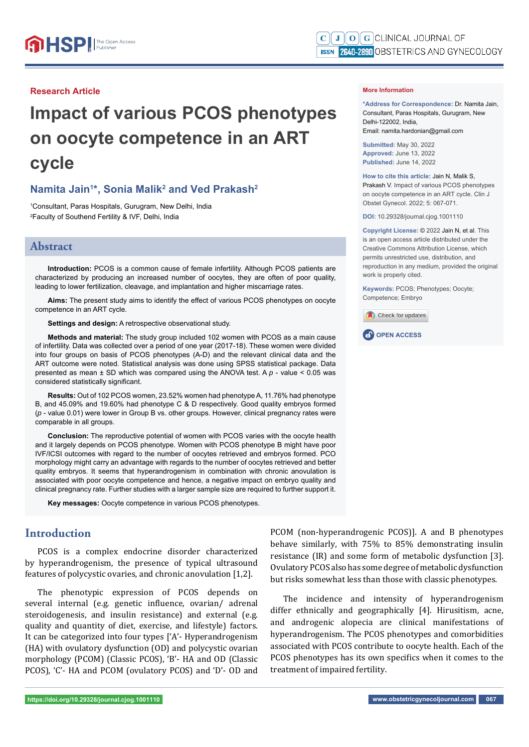### **Research Article**

# **Impact of various PCOS phenotypes on oocyte competence in an ART cycle**

## **Namita Jain<sup>1\*</sup>, Sonia Malik<sup>2</sup> and Ved Prakash<sup>2</sup>**

1 Consultant, Paras Hospitals, Gurugram, New Delhi, India 2 Faculty of Southend Fertility & IVF, Delhi, India

#### **Abstract**

**Introduction:** PCOS is a common cause of female infertility. Although PCOS patients are characterized by producing an increased number of oocytes, they are often of poor quality, leading to lower fertilization, cleavage, and implantation and higher miscarriage rates.

Aims: The present study aims to identify the effect of various PCOS phenotypes on oocyte competence in an ART cycle.

#### **Settings and design:** A retrospective observational study.

**Methods and material:** The study group included 102 women with PCOS as a main cause of infertility. Data was collected over a period of one year (2017-18). These women were divided into four groups on basis of PCOS phenotypes (A-D) and the relevant clinical data and the ART outcome were noted. Statistical analysis was done using SPSS statistical package. Data presented as mean ± SD which was compared using the ANOVA test. A *p* - value < 0.05 was considered statistically significant.

**Results:** Out of 102 PCOS women, 23.52% women had phenotype A, 11.76% had phenotype B, and 45.09% and 19.60% had phenotype C & D respectively. Good quality embryos formed (*p* - value 0.01) were lower in Group B vs. other groups. However, clinical pregnancy rates were comparable in all groups.

**Conclusion:** The reproductive potential of women with PCOS varies with the oocyte health and it largely depends on PCOS phenotype. Women with PCOS phenotype B might have poor IVF/ICSI outcomes with regard to the number of oocytes retrieved and embryos formed. PCO morphology might carry an advantage with regards to the number of oocytes retrieved and better quality embryos. It seems that hyperandrogenism in combination with chronic anovulation is associated with poor oocyte competence and hence, a negative impact on embryo quality and clinical pregnancy rate. Further studies with a larger sample size are required to further support it.

**Key messages:** Oocyte competence in various PCOS phenotypes.

## **Introduction**

PCOS is a complex endocrine disorder characterized by hyperandrogenism, the presence of typical ultrasound features of polycystic ovaries, and chronic anovulation [1,2].

The phenotypic expression of PCOS depends on several internal (e.g. genetic influence, ovarian/ adrenal steroidogenesis, and insulin resistance) and external (e.g. quality and quantity of diet, exercise, and lifestyle) factors. It can be categorized into four types ['A'- Hyperandrogenism (HA) with ovulatory dysfunction (OD) and polycystic ovarian morphology (PCOM) (Classic PCOS), 'B'- HA and OD (Classic PCOS), 'C'- HA and PCOM (ovulatory PCOS) and 'D'- OD and

**\*Address for Correspondence:** Dr. Namita Jain, Consultant, Paras Hospitals, Gurugram, New Delhi-122002, India, Email: namita.hardonian@gmail.com

**Submitted:** May 30, 2022 **Approved:** June 13, 2022 **Published:** June 14, 2022

**How to cite this article:** Jain N, Malik S, Prakash V. Impact of various PCOS phenotypes on oocyte competence in an ART cycle. Clin J Obstet Gynecol. 2022; 5: 067-071.

**DOI:** 10.29328/journal.cjog.1001110

**Copyright License: ©** 2022 Jain N, et al. This is an open access article distributed under the Creative Commons Attribution License, which permits unrestricted use, distribution, and reproduction in any medium, provided the original work is properly cited.

**Keywords:** PCOS; Phenotypes; Oocyte; Competence; Embryo





PCOM (non-hyperandrogenic PCOS)]. A and B phenotypes behave similarly, with 75% to 85% demonstrating insulin resistance (IR) and some form of metabolic dysfunction [3]. Ovulatory PCOS also has some degree of metabolic dysfunction but risks somewhat less than those with classic phenotypes.

The incidence and intensity of hyperandrogenism differ ethnically and geographically [4]. Hirusitism, acne, and androgenic alopecia are clinical manifestations of hyperandrogenism. The PCOS phenotypes and comorbidities associated with PCOS contribute to oocyte health. Each of the PCOS phenotypes has its own specifics when it comes to the treatment of impaired fertility.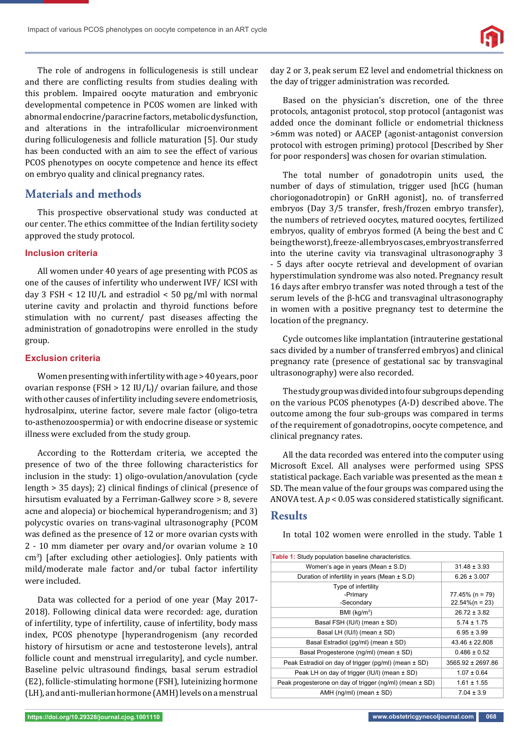The role of androgens in folliculogenesis is still unclear and there are conflicting results from studies dealing with this problem. Impaired oocyte maturation and embryonic developmental competence in PCOS women are linked with abnormal endocrine/paracrine factors, metabolic dysfunction, and alterations in the intrafollicular microenvironment during folliculogenesis and follicle maturation [5]. Our study has been conducted with an aim to see the effect of various PCOS phenotypes on oocyte competence and hence its effect on embryo quality and clinical pregnancy rates.

## **Materials and methods**

This prospective observational study was conducted at our center. The ethics committee of the Indian fertility society approved the study protocol.

### **Inclusion criteria**

All women under 40 years of age presenting with PCOS as one of the causes of infertility who underwent IVF/ ICSI with day 3 FSH < 12 IU/L and estradiol < 50 pg/ml with normal uterine cavity and prolactin and thyroid functions before stimulation with no current/ past diseases affecting the administration of gonadotropins were enrolled in the study group.

### **Exclusion criteria**

Women presenting with infertility with age > 40 years, poor ovarian response (FSH > 12 IU/L)/ ovarian failure, and those with other causes of infertility including severe endometriosis, hydrosalpinx, uterine factor, severe male factor (oligo-tetra to-asthenozoospermia) or with endocrine disease or systemic illness were excluded from the study group.

According to the Rotterdam criteria, we accepted the presence of two of the three following characteristics for inclusion in the study: 1) oligo-ovulation/anovulation (cycle length  $> 35$  days); 2) clinical findings of clinical (presence of hirsutism evaluated by a Ferriman-Gallwey score > 8, severe acne and alopecia) or biochemical hyperandrogenism; and 3) polycystic ovaries on trans-vaginal ultrasonography (PCOM was defined as the presence of 12 or more ovarian cysts with 2 - 10 mm diameter per ovary and/or ovarian volume  $\geq 10$ cm<sup>3</sup>) [after excluding other aetiologies]. Only patients with mild/moderate male factor and/or tubal factor infertility were included.

Data was collected for a period of one year (May 2017- 2018). Following clinical data were recorded: age, duration of infertility, type of infertility, cause of infertility, body mass index, PCOS phenotype [hyperandrogenism (any recorded history of hirsutism or acne and testosterone levels), antral follicle count and menstrual irregularity], and cycle number. Baseline pelvic ultrasound findings, basal serum estradiol (E2), follicle-stimulating hormone (FSH), luteinizing hormone (LH), and anti-mullerian hormone (AMH) levels on a menstrual day 2 or 3, peak serum E2 level and endometrial thickness on the day of trigger administration was recorded.

Based on the physician's discretion, one of the three protocols, antagonist protocol, stop protocol (antagonist was added once the dominant follicle or endometrial thickness >6mm was noted) or AACEP (agonist-antagonist conversion protocol with estrogen priming) protocol [Described by Sher for poor responders] was chosen for ovarian stimulation.

The total number of gonadotropin units used, the number of days of stimulation, trigger used [hCG (human choriogonadotropin) or GnRH agonist], no. of transferred embryos (Day 3/5 transfer, fresh/frozen embryo transfer), the numbers of retrieved oocytes, matured oocytes, fertilized embryos, quality of embryos formed (A being the best and C being the worst), freeze-all embryos cases, embryos transferred into the uterine cavity via transvaginal ultrasonography 3 - 5 days after oocyte retrieval and development of ovarian hyperstimulation syndrome was also noted. Pregnancy result 16 days after embryo transfer was noted through a test of the serum levels of the β-hCG and transvaginal ultrasonography in women with a positive pregnancy test to determine the location of the pregnancy.

Cycle outcomes like implantation (intrauterine gestational sacs divided by a number of transferred embryos) and clinical pregnancy rate (presence of gestational sac by transvaginal ultrasonography) were also recorded.

The study group was divided into four subgroups depending on the various PCOS phenotypes (A-D) described above. The outcome among the four sub-groups was compared in terms of the requirement of gonadotropins, oocyte competence, and clinical pregnancy rates.

All the data recorded was entered into the computer using Microsoft Excel. All analyses were performed using SPSS statistical package. Each variable was presented as the mean ± SD. The mean value of the four groups was compared using the ANOVA test. A  $p < 0.05$  was considered statistically significant.

## **Results**

In total 102 women were enrolled in the study. Table 1

| Table 1: Study population baseline characteristics.         |                       |  |  |
|-------------------------------------------------------------|-----------------------|--|--|
| Women's age in years (Mean $\pm$ S.D)                       | $31.48 \pm 3.93$      |  |  |
| Duration of infertility in years (Mean $\pm$ S.D)           | $6.26 \pm 3.007$      |  |  |
| Type of infertility                                         |                       |  |  |
| -Primary                                                    | $77.45\%$ (n = 79)    |  |  |
| -Secondary                                                  | $22.54\%$ (n = 23)    |  |  |
| BMI (kg/m <sup>2</sup> )                                    | $26.72 \pm 3.82$      |  |  |
| Basal FSH (IU/I) (mean ± SD)                                | $5.74 \pm 1.75$       |  |  |
| Basal LH (IU/I) (mean ± SD)                                 | $6.95 \pm 3.99$       |  |  |
| Basal Estradiol (pg/ml) (mean ± SD)                         | $43.46 \pm 22.808$    |  |  |
| Basal Progesterone (ng/ml) (mean ± SD)                      | $0.486 \pm 0.52$      |  |  |
| Peak Estradiol on day of trigger (pg/ml) (mean ± SD)        | $3565.92 \pm 2697.86$ |  |  |
| Peak LH on day of trigger (IU/I) (mean $\pm$ SD)            | $1.07 \pm 0.64$       |  |  |
| Peak progesterone on day of trigger (ng/ml) (mean $\pm$ SD) | $1.61 \pm 1.55$       |  |  |
| AMH (ng/ml) (mean $\pm$ SD)                                 | $7.04 \pm 3.9$        |  |  |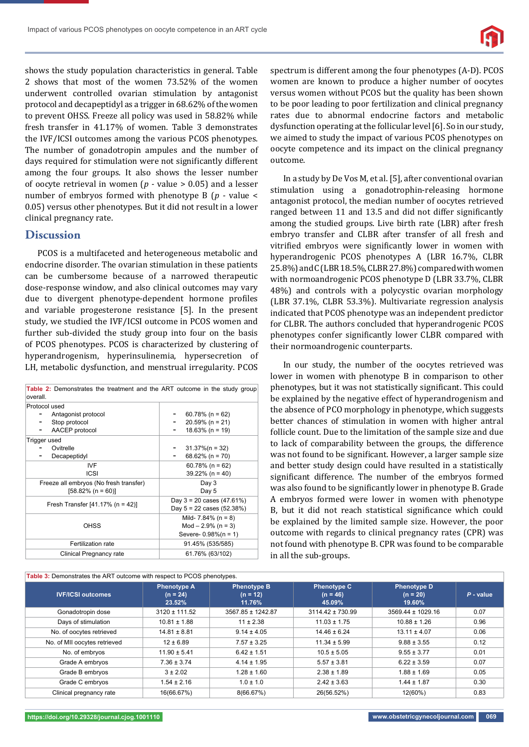

shows the study population characteristics in general. Table 2 shows that most of the women 73.52% of the women underwent controlled ovarian stimulation by antagonist protocol and decapeptidyl as a trigger in 68.62% of the women to prevent OHSS. Freeze all policy was used in 58.82% while fresh transfer in 41.17% of women. Table 3 demonstrates the IVF/ICSI outcomes among the various PCOS phenotypes. The number of gonadotropin ampules and the number of days required for stimulation were not significantly different among the four groups. It also shows the lesser number of oocyte retrieval in women (*p -* value > 0.05) and a lesser number of embryos formed with phenotype B (*p -* value < 0.05) versus other phenotypes. But it did not result in a lower clinical pregnancy rate.

## **Discussion**

PCOS is a multifaceted and heterogeneous metabolic and endocrine disorder. The ovarian stimulation in these patients can be cumbersome because of a narrowed therapeutic dose-response window, and also clinical outcomes may vary due to divergent phenotype-dependent hormone profiles and variable progesterone resistance [5]. In the present study, we studied the IVF/ICSI outcome in PCOS women and further sub-divided the study group into four on the basis of PCOS phenotypes. PCOS is characterized by clustering of hyperandrogenism, hyperinsulinemia, hypersecretion of LH, metabolic dysfunction, and menstrual irregularity. PCOS

| Table 2: Demonstrates the treatment and the ART outcome in the study group<br>overall.       |                                                                              |  |  |  |
|----------------------------------------------------------------------------------------------|------------------------------------------------------------------------------|--|--|--|
| Protocol used<br>Antagonist protocol<br>Stop protocol<br>-<br>AACEP protocol<br>Trigger used | $60.78\%$ (n = 62)<br>$20.59\%$ (n = 21)<br>$18.63\%$ (n = 19)               |  |  |  |
| Ovitrelle<br>Decapeptidyl                                                                    | $31.37\%$ (n = 32)<br>68.62% (n = 70)                                        |  |  |  |
| IVF<br><b>ICSI</b>                                                                           | $60.78\%$ (n = 62)<br>$39.22\%$ (n = 40)                                     |  |  |  |
| Freeze all embryos (No fresh transfer)<br>$[58.82\% (n = 60)]$                               | Day 3<br>Day 5                                                               |  |  |  |
| Fresh Transfer $[41.17% (n = 42)]$                                                           | Day $3 = 20$ cases $(47.61\%)$<br>Day $5 = 22$ cases (52.38%)                |  |  |  |
| OHSS                                                                                         | Mild- 7.84% ( $n = 8$ )<br>$Mod - 2.9\%$ (n = 3)<br>Severe- $0.98\%$ (n = 1) |  |  |  |
| Fertilization rate                                                                           | 91.45% (535/585)                                                             |  |  |  |
| Clinical Pregnancy rate                                                                      | 61.76% (63/102)                                                              |  |  |  |

**Table 3:** Demonstrates the ART outcome with respect to PCOS phenotypes.

spectrum is different among the four phenotypes (A-D). PCOS women are known to produce a higher number of oocytes versus women without PCOS but the quality has been shown to be poor leading to poor fertilization and clinical pregnancy rates due to abnormal endocrine factors and metabolic dysfunction operating at the follicular level [6]. So in our study, we aimed to study the impact of various PCOS phenotypes on oocyte competence and its impact on the clinical pregnancy outcome.

In a study by De Vos M, et al. [5], after conventional ovarian stimulation using a gonadotrophin-releasing hormone antagonist protocol, the median number of oocytes retrieved ranged between 11 and 13.5 and did not differ significantly among the studied groups. Live birth rate (LBR) after fresh embryo transfer and CLBR after transfer of all fresh and vitrified embryos were significantly lower in women with hyperandrogenic PCOS phenotypes A (LBR 16.7%, CLBR 25.8%) and C (LBR 18.5%, CLBR 27.8%) compared with women with normoandrogenic PCOS phenotype D (LBR 33.7%, CLBR 48%) and controls with a polycystic ovarian morphology (LBR 37.1%, CLBR 53.3%). Multivariate regression analysis indicated that PCOS phenotype was an independent predictor for CLBR. The authors concluded that hyperandrogenic PCOS phenotypes confer significantly lower CLBR compared with their normoandrogenic counterparts.

In our study, the number of the oocytes retrieved was lower in women with phenotype B in comparison to other phenotypes, but it was not statistically significant. This could be explained by the negative effect of hyperandrogenism and the absence of PCO morphology in phenotype, which suggests better chances of stimulation in women with higher antral follicle count. Due to the limitation of the sample size and due to lack of comparability between the groups, the difference was not found to be significant. However, a larger sample size and better study design could have resulted in a statistically significant difference. The number of the embryos formed was also found to be significantly lower in phenotype B. Grade A embryos formed were lower in women with phenotype B, but it did not reach statistical significance which could be explained by the limited sample size. However, the poor outcome with regards to clinical pregnancy rates (CPR) was not found with phenotype B. CPR was found to be comparable in all the sub-groups.

| <b>Table 3:</b> Demonstrates the ART outcome with respect to PCOS phenotypes. |                                            |                                            |                                            |                                            |             |  |  |
|-------------------------------------------------------------------------------|--------------------------------------------|--------------------------------------------|--------------------------------------------|--------------------------------------------|-------------|--|--|
| <b>IVF/ICSI outcomes</b>                                                      | <b>Phenotype A</b><br>$(n = 24)$<br>23.52% | <b>Phenotype B</b><br>$(n = 12)$<br>11.76% | <b>Phenotype C</b><br>$(n = 46)$<br>45.09% | <b>Phenotype D</b><br>$(n = 20)$<br>19.60% | $P$ - value |  |  |
| Gonadotropin dose                                                             | $3120 \pm 111.52$                          | 3567.85 ± 1242.87                          | $3114.42 \pm 730.99$                       | 3569.44 ± 1029.16                          | 0.07        |  |  |
| Days of stimulation                                                           | $10.81 \pm 1.88$                           | $11 \pm 2.38$                              | $11.03 \pm 1.75$                           | $10.88 \pm 1.26$                           | 0.96        |  |  |
| No. of oocytes retrieved                                                      | $14.81 \pm 8.81$                           | $9.14 \pm 4.05$                            | $14.46 \pm 6.24$                           | $13.11 \pm 4.07$                           | 0.06        |  |  |
| No. of MII oocytes retrieved                                                  | $12 \pm 6.89$                              | $7.57 \pm 3.25$                            | $11.34 \pm 5.99$                           | $9.88 \pm 3.55$                            | 0.12        |  |  |
| No. of embryos                                                                | $11.90 \pm 5.41$                           | $6.42 \pm 1.51$                            | $10.5 \pm 5.05$                            | $9.55 \pm 3.77$                            | 0.01        |  |  |
| Grade A embryos                                                               | $7.36 \pm 3.74$                            | $4.14 \pm 1.95$                            | $5.57 \pm 3.81$                            | $6.22 \pm 3.59$                            | 0.07        |  |  |
| Grade B embryos                                                               | $3 \pm 2.02$                               | $1.28 \pm 1.60$                            | $2.38 \pm 1.89$                            | $1.88 \pm 1.69$                            | 0.05        |  |  |
| Grade C embryos                                                               | $1.54 \pm 2.16$                            | $1.0 \pm 1.0$                              | $2.42 \pm 3.63$                            | $1.44 \pm 1.87$                            | 0.30        |  |  |
| Clinical pregnancy rate                                                       | 16(66.67%)                                 | 8(66.67%)                                  | 26(56.52%)                                 | 12(60%)                                    | 0.83        |  |  |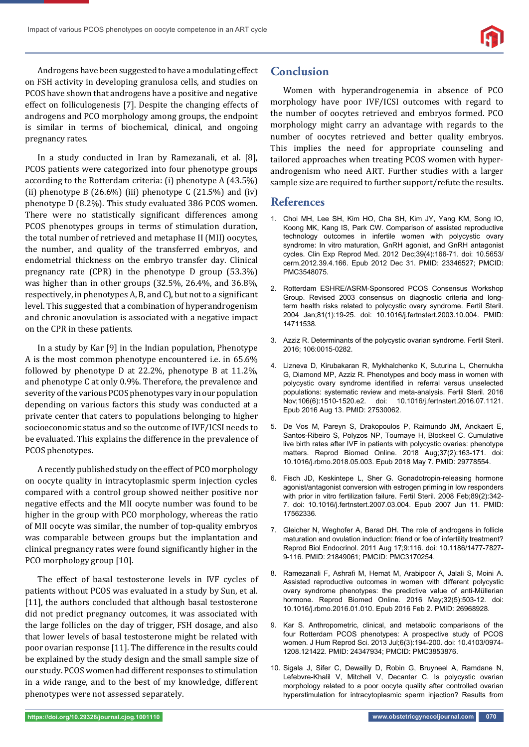Androgens have been suggested to have a modulating effect on FSH activity in developing granulosa cells, and studies on PCOS have shown that androgens have a positive and negative effect on folliculogenesis [7]. Despite the changing effects of androgens and PCO morphology among groups, the endpoint is similar in terms of biochemical, clinical, and ongoing pregnancy rates.

In a study conducted in Iran by Ramezanali, et al. [8], PCOS patients were categorized into four phenotype groups according to the Rotterdam criteria: (i) phenotype A (43.5%) (ii) phenotype B  $(26.6\%)$  (iii) phenotype C  $(21.5\%)$  and (iv) phenotype D (8.2%). This study evaluated 386 PCOS women. There were no statistically significant differences among PCOS phenotypes groups in terms of stimulation duration, the total number of retrieved and metaphase II (MII) oocytes, the number, and quality of the transferred embryos, and endometrial thickness on the embryo transfer day. Clinical pregnancy rate (CPR) in the phenotype D group (53.3%) was higher than in other groups (32.5%, 26.4%, and 36.8%, respectively, in phenotypes A, B, and C), but not to a significant level. This suggested that a combination of hyperandrogenism and chronic anovulation is associated with a negative impact on the CPR in these patients.

In a study by Kar [9] in the Indian population, Phenotype A is the most common phenotype encountered i.e. in 65.6% followed by phenotype D at 22.2%, phenotype B at 11.2%, and phenotype C at only 0.9%. Therefore, the prevalence and severity of the various PCOS phenotypes vary in our population depending on various factors this study was conducted at a private center that caters to populations belonging to higher socioeconomic status and so the outcome of IVF/ICSI needs to be evaluated. This explains the difference in the prevalence of PCOS phenotypes.

A recently published study on the effect of PCO morphology on oocyte quality in intracytoplasmic sperm injection cycles compared with a control group showed neither positive nor negative effects and the MII oocyte number was found to be higher in the group with PCO morphology, whereas the ratio of MII oocyte was similar, the number of top-quality embryos was comparable between groups but the implantation and clinical pregnancy rates were found significantly higher in the PCO morphology group [10].

The effect of basal testosterone levels in IVF cycles of patients without PCOS was evaluated in a study by Sun, et al. [11], the authors concluded that although basal testosterone did not predict pregnancy outcomes, it was associated with the large follicles on the day of trigger, FSH dosage, and also that lower levels of basal testosterone might be related with poor ovarian response [11]. The difference in the results could be explained by the study design and the small sample size of our study. PCOS women had different responses to stimulation in a wide range, and to the best of my knowledge, different phenotypes were not assessed separately.

## **Conclusion**

Women with hyperandrogenemia in absence of PCO morphology have poor IVF/ICSI outcomes with regard to the number of oocytes retrieved and embryos formed. PCO morphology might carry an advantage with regards to the number of oocytes retrieved and better quality embryos. This implies the need for appropriate counseling and tailored approaches when treating PCOS women with hyperandrogenism who need ART. Further studies with a larger sample size are required to further support/refute the results.

## **References**

- 1. Choi MH, Lee SH, Kim HO, Cha SH, Kim JY, Yang KM, Song IO, Koong MK, Kang IS, Park CW. Comparison of assisted reproductive technology outcomes in infertile women with polycystic ovary syndrome: In vitro maturation, GnRH agonist, and GnRH antagonist cycles. Clin Exp Reprod Med. 2012 Dec;39(4):166-71. doi: 10.5653/ cerm.2012.39.4.166. Epub 2012 Dec 31. PMID: 23346527; PMCID: PMC3548075.
- 2. Rotterdam ESHRE/ASRM-Sponsored PCOS Consensus Workshop Group. Revised 2003 consensus on diagnostic criteria and longterm health risks related to polycystic ovary syndrome. Fertil Steril. 2004 Jan;81(1):19-25. doi: 10.1016/j.fertnstert.2003.10.004. PMID: 14711538.
- 3. Azziz R. Determinants of the polycystic ovarian syndrome. Fertil Steril. 2016; 106:0015-0282.
- 4. Lizneva D, Kirubakaran R, Mykhalchenko K, Suturina L, Chernukha G, Diamond MP, Azziz R. Phenotypes and body mass in women with polycystic ovary syndrome identified in referral versus unselected populations: systematic review and meta-analysis. Fertil Steril. 2016 Nov;106(6):1510-1520.e2. doi: 10.1016/j.fertnstert.2016.07.1121. Epub 2016 Aug 13. PMID: 27530062.
- 5. De Vos M, Pareyn S, Drakopoulos P, Raimundo JM, Anckaert E, Santos-Ribeiro S, Polyzos NP, Tournaye H, Blockeel C. Cumulative live birth rates after IVF in patients with polycystic ovaries: phenotype matters. Reprod Biomed Online. 2018 Aug;37(2):163-171. doi: 10.1016/j.rbmo.2018.05.003. Epub 2018 May 7. PMID: 29778554.
- 6. Fisch JD, Keskintepe L, Sher G. Gonadotropin-releasing hormone agonist/antagonist conversion with estrogen priming in low responders with prior in vitro fertilization failure. Fertil Steril. 2008 Feb;89(2):342- 7. doi: 10.1016/j.fertnstert.2007.03.004. Epub 2007 Jun 11. PMID: 17562336.
- 7. Gleicher N, Weghofer A, Barad DH. The role of androgens in follicle maturation and ovulation induction: friend or foe of infertility treatment? Reprod Biol Endocrinol. 2011 Aug 17;9:116. doi: 10.1186/1477-7827- 9-116. PMID: 21849061; PMCID: PMC3170254.
- 8. Ramezanali F, Ashrafi M, Hemat M, Arabipoor A, Jalali S, Moini A. Assisted reproductive outcomes in women with different polycystic ovary syndrome phenotypes: the predictive value of anti-Müllerian hormone. Reprod Biomed Online. 2016 May;32(5):503-12. doi: 10.1016/j.rbmo.2016.01.010. Epub 2016 Feb 2. PMID: 26968928.
- 9. Kar S. Anthropometric, clinical, and metabolic comparisons of the four Rotterdam PCOS phenotypes: A prospective study of PCOS women. J Hum Reprod Sci. 2013 Jul;6(3):194-200. doi: 10.4103/0974- 1208.121422. PMID: 24347934; PMCID: PMC3853876.
- 10. Sigala J, Sifer C, Dewailly D, Robin G, Bruyneel A, Ramdane N, Lefebvre-Khalil V, Mitchell V, Decanter C. Is polycystic ovarian morphology related to a poor oocyte quality after controlled ovarian hyperstimulation for intracytoplasmic sperm injection? Results from